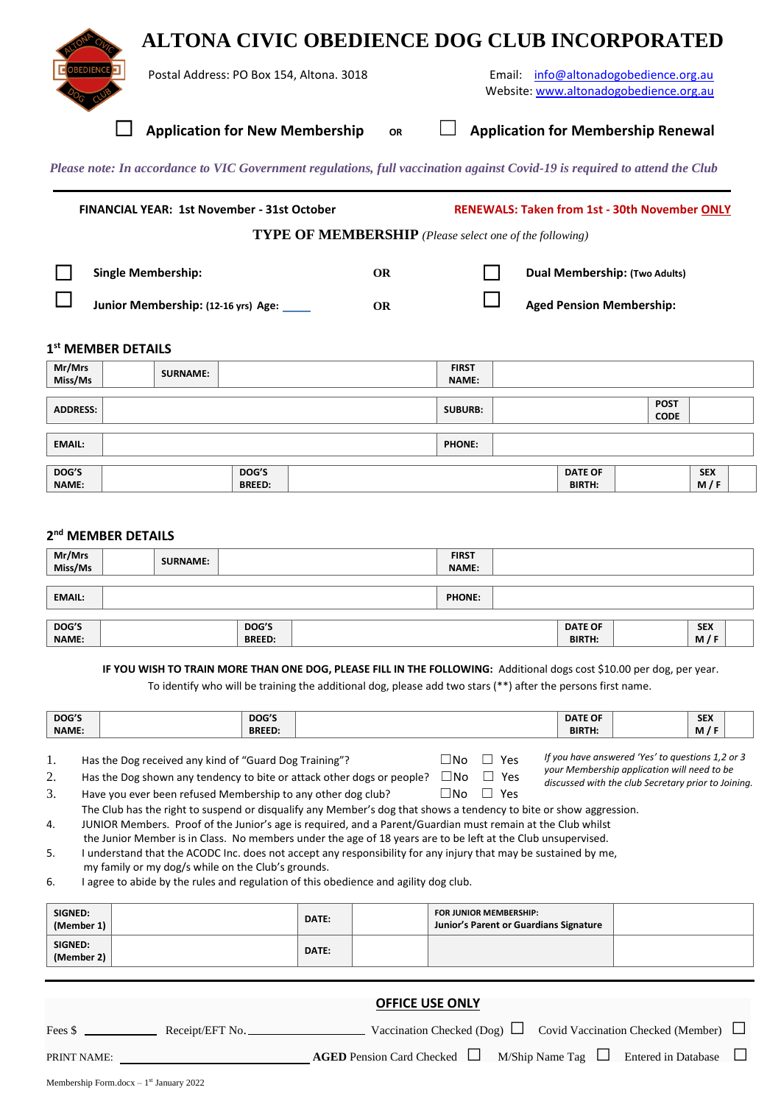## **ALTONA CIVIC OBEDIENCE DOG CLUB INCORPORATED**



l

**Postal Address: PO Box 154, Altona. 3018** Email: [info@altonadogobedience.org.au](mailto:info@altonadogobedience.org.au) Website[: www.altonadogobedience.org.au](file:///E:/Forms/www.altonadogobedience.org.au)

> *your Membership application will need to be discussed with the club Secretary prior to Joining.*

☐ **Application for New Membership OR** ☐ **Application for Membership Renewal** 

*Please note: In accordance to VIC Government regulations, full vaccination against Covid-19 is required to attend the Club*

|                   | <b>FINANCIAL YEAR: 1st November - 31st October</b>               |                 |  | <b>RENEWALS: Taken from 1st - 30th November ONLY</b>           |                              |                                                                         |  |
|-------------------|------------------------------------------------------------------|-----------------|--|----------------------------------------------------------------|------------------------------|-------------------------------------------------------------------------|--|
|                   |                                                                  |                 |  | <b>TYPE OF MEMBERSHIP</b> (Please select one of the following) |                              |                                                                         |  |
|                   | <b>Single Membership:</b><br>Junior Membership: (12-16 yrs) Age: |                 |  | <b>OR</b><br><b>OR</b>                                         |                              | <b>Dual Membership: (Two Adults)</b><br><b>Aged Pension Membership:</b> |  |
|                   | 1 <sup>st</sup> MEMBER DETAILS                                   |                 |  |                                                                |                              |                                                                         |  |
| Mr/Mrs<br>Miss/Ms |                                                                  | <b>SURNAME:</b> |  |                                                                | <b>FIRST</b><br><b>NAME:</b> |                                                                         |  |
| <b>ADDRESS:</b>   |                                                                  |                 |  |                                                                | <b>SUBURB:</b>               | <b>POST</b><br><b>CODE</b>                                              |  |

| <b>EMAIL:</b> |               | <b>PHONE:</b> |                |            |
|---------------|---------------|---------------|----------------|------------|
| DOG'S         | DOG'S         |               | <b>DATE OF</b> | <b>SEX</b> |
| <b>NAME:</b>  | <b>BREED:</b> |               | <b>BIRTH:</b>  | M<br>. .   |

### **2 nd MEMBER DETAILS**

| Mr/Mrs<br>Miss/Ms | <b>SURNAME:</b> |                        | <b>FIRST</b><br><b>NAME:</b> |                                 |                   |
|-------------------|-----------------|------------------------|------------------------------|---------------------------------|-------------------|
| <b>EMAIL:</b>     |                 |                        | <b>PHONE:</b>                |                                 |                   |
| DOG'S<br>NAME:    |                 | DOG'S<br><b>BREED:</b> |                              | <b>DATE OF</b><br><b>BIRTH:</b> | <b>SEX</b><br>M/F |

 **IF YOU WISH TO TRAIN MORE THAN ONE DOG, PLEASE FILL IN THE FOLLOWING:** Additional dogs cost \$10.00 per dog, per year.

To identify who will be training the additional dog, please add two stars (\*\*) after the persons first name.

| DOG'S                                                         | DOG'S         |  |  | <b>DATE OF</b> | <b>SEX</b>                                       |
|---------------------------------------------------------------|---------------|--|--|----------------|--------------------------------------------------|
| <b>NAME:</b>                                                  | <b>BREED:</b> |  |  | <b>BIRTH:</b>  | $\sqrt{2}$<br>M                                  |
| ⊓No<br>Has the Dog received any kind of "Guard Dog Training"? |               |  |  |                | If you have answered 'Yes' to questions 1,2 or 3 |

| .  | Thas the Bog received any kind of Sadra Bog frammig.                                        | __________ |
|----|---------------------------------------------------------------------------------------------|------------|
| 2. | Has the Dog shown any tendency to bite or attack other dogs or people? $\Box$ No $\Box$ Yes |            |

3. Have you ever been refused Membership to any other dog club?  $□$  No  $□$  Yes

The Club has the right to suspend or disqualify any Member's dog that shows a tendency to bite or show aggression. 4. JUNIOR Members. Proof of the Junior's age is required, and a Parent/Guardian must remain at the Club whilst

the Junior Member is in Class. No members under the age of 18 years are to be left at the Club unsupervised. 5. I understand that the ACODC Inc. does not accept any responsibility for any injury that may be sustained by me, my family or my dog/s while on the Club's grounds.

6. I agree to abide by the rules and regulation of this obedience and agility dog club.

| SIGNED:<br>(Member 1) | DATE: | <b>FOR JUNIOR MEMBERSHIP:</b><br>Junior's Parent or Guardians Signature |  |
|-----------------------|-------|-------------------------------------------------------------------------|--|
| SIGNED:<br>(Member 2) | DATE: |                                                                         |  |

# **OFFICE USE ONLY** Fees \$ Receipt/EFT No. Vaccination Checked (Dog) □ Covid Vaccination Checked (Member) □ PRINT NAME: **AGED** Pension Card Checked □ M/Ship Name Tag □ Entered in Database □

Membership Form.docx  $-1<sup>st</sup>$  January 2022